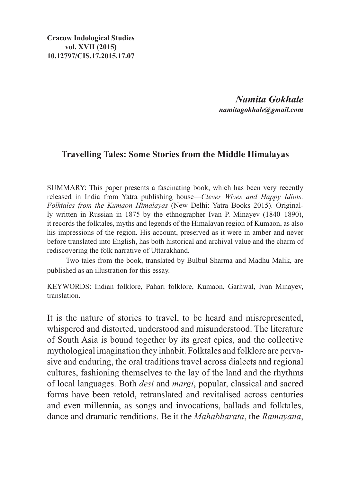**Cracow Indological Studies vol. XVII (2015) 10.12797/CIS.17.2015.17.07**

> *Namita Gokhale namitagokhale@gmail.com*

## **Travelling Tales: Some Stories from the Middle Himalayas**

SUMMARY: This paper presents a fascinating book, which has been very recently released in India from Yatra publishing house—*Clever Wives and Happy Idiots. Folktales from the Kumaon Himalayas* (New Delhi: Yatra Books 2015). Originally written in Russian in 1875 by the ethnographer Ivan P. Minayev (1840–1890), it records the folktales, myths and legends of the Himalayan region of Kumaon, as also his impressions of the region. His account, preserved as it were in amber and never before translated into English, has both historical and archival value and the charm of rediscovering the folk narrative of Uttarakhand.

Two tales from the book, translated by Bulbul Sharma and Madhu Malik, are published as an illustration for this essay.

Keywords: Indian folklore, Pahari folklore, Kumaon, Garhwal, Ivan Minayev, translation.

It is the nature of stories to travel, to be heard and misrepresented, whispered and distorted, understood and misunderstood. The literature of South Asia is bound together by its great epics, and the collective mythological imagination they inhabit. Folktales and folklore are pervasive and enduring, the oral traditions travel across dialects and regional cultures, fashioning themselves to the lay of the land and the rhythms of local languages. Both *desi* and *margi*, popular, classical and sacred forms have been retold, retranslated and revitalised across centuries and even millennia, as songs and invocations, ballads and folktales, dance and dramatic renditions. Be it the *Mahabharata*, the *Ramayana*,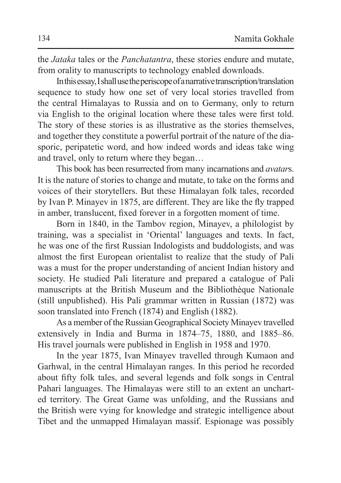the *Jataka* tales or the *Panchatantra*, these stories endure and mutate, from orality to manuscripts to technology enabled downloads.

In this essay, Ishall use theperiscope of anarrative transcription/translation sequence to study how one set of very local stories travelled from the central Himalayas to Russia and on to Germany, only to return via English to the original location where these tales were first told. The story of these stories is as illustrative as the stories themselves, and together they constitute a powerful portrait of the nature of the diasporic, peripatetic word, and how indeed words and ideas take wing and travel, only to return where they began…

This book has been resurrected from many incarnations and *avatar*s. It is the nature of stories to change and mutate, to take on the forms and voices of their storytellers. But these Himalayan folk tales, recorded by Ivan P. Minayev in 1875, are different. They are like the fly trapped in amber, translucent, fixed forever in a forgotten moment of time.

Born in 1840, in the Tambov region, Minayev, a philologist by training, was a specialist in 'Oriental' languages and texts. In fact, he was one of the first Russian Indologists and buddologists, and was almost the first European orientalist to realize that the study of Pali was a must for the proper understanding of ancient Indian history and society. He studied Pali literature and prepared a catalogue of Pali manuscripts at the British Museum and the Bibliothèque Nationale (still unpublished). His Pali grammar written in Russian (1872) was soon translated into French (1874) and English (1882).

As a member of the Russian Geographical Society Minayev travelled extensively in India and Burma in 1874–75, 1880, and 1885–86. His travel journals were published in English in 1958 and 1970.

In the year 1875, Ivan Minayev travelled through Kumaon and Garhwal, in the central Himalayan ranges. In this period he recorded about fifty folk tales, and several legends and folk songs in Central Pahari languages. The Himalayas were still to an extent an uncharted territory. The Great Game was unfolding, and the Russians and the British were vying for knowledge and strategic intelligence about Tibet and the unmapped Himalayan massif. Espionage was possibly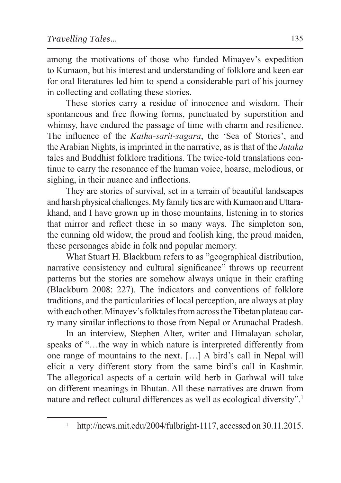among the motivations of those who funded Minayev's expedition to Kumaon, but his interest and understanding of folklore and keen ear for oral literatures led him to spend a considerable part of his journey in collecting and collating these stories.

These stories carry a residue of innocence and wisdom. Their spontaneous and free flowing forms, punctuated by superstition and whimsy, have endured the passage of time with charm and resilience. The influence of the *Katha-sarit-sagara*, the 'Sea of Stories', and the Arabian Nights, is imprinted in the narrative, as is that of the *Jataka*  tales and Buddhist folklore traditions. The twice-told translations continue to carry the resonance of the human voice, hoarse, melodious, or sighing, in their nuance and inflections.

They are stories of survival, set in a terrain of beautiful landscapes and harsh physical challenges. My family ties are with Kumaon and Uttarakhand, and I have grown up in those mountains, listening in to stories that mirror and reflect these in so many ways. The simpleton son, the cunning old widow, the proud and foolish king, the proud maiden, these personages abide in folk and popular memory.

What Stuart H. Blackburn refers to as "geographical distribution, narrative consistency and cultural significance" throws up recurrent patterns but the stories are somehow always unique in their crafting (Blackburn 2008: 227). The indicators and conventions of folklore traditions, and the particularities of local perception, are always at play with each other. Minayev's folktales from across the Tibetan plateau carry many similar inflections to those from Nepal or Arunachal Pradesh.

In an interview, Stephen Alter, writer and Himalayan scholar, speaks of "…the way in which nature is interpreted differently from one range of mountains to the next. […] A bird's call in Nepal will elicit a very different story from the same bird's call in Kashmir. The allegorical aspects of a certain wild herb in Garhwal will take on different meanings in Bhutan. All these narratives are drawn from nature and reflect cultural differences as well as ecological diversity".<sup>1</sup>

http://news.mit.edu/2004/fulbright-1117, accessed on 30.11.2015.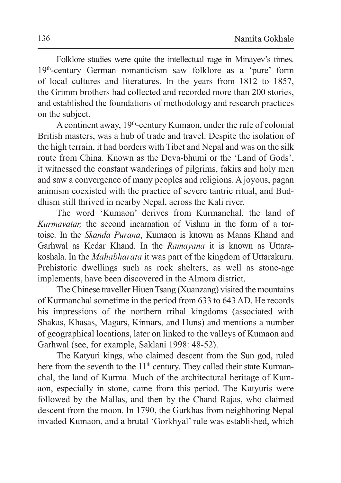Folklore studies were quite the intellectual rage in Minayev's times. 19th-century German romanticism saw folklore as a 'pure' form of local cultures and literatures. In the years from 1812 to 1857, the Grimm brothers had collected and recorded more than 200 stories, and established the foundations of methodology and research practices on the subject.

Acontinent away, 19th-century Kumaon, under the rule of colonial British masters, was a hub of trade and travel. Despite the isolation of the high terrain, it had borders with Tibet and Nepal and was on the silk route from China. Known as the Deva-bhumi or the 'Land of Gods', it witnessed the constant wanderings of pilgrims, fakirs and holy men and saw a convergence of many peoples and religions. A joyous, pagan animism coexisted with the practice of severe tantric ritual, and Buddhism still thrived in nearby Nepal, across the Kali river.

The word 'Kumaon' derives from Kurmanchal, the land of *Kurmavatar,* the second incarnation of Vishnu in the form of a tortoise. In the *Skanda Purana*, Kumaon is known as Manas Khand and Garhwal as Kedar Khand. In the *Ramayana* it is known as Uttarakoshala. In the *Mahabharata* it was part of the kingdom of Uttarakuru. Prehistoric dwellings such as rock shelters, as well as stone-age implements, have been discovered in the Almora district.

TheChinese traveller Hiuen Tsang (Xuanzang) visited the mountains of Kurmanchal sometime in the period from 633 to 643 AD. He records his impressions of the northern tribal kingdoms (associated with Shakas, Khasas, Magars, Kinnars, and Huns) and mentions a number of geographical locations, later on linked to the valleys of Kumaon and Garhwal (see, for example, Saklani 1998: 48-52).

The Katyuri kings, who claimed descent from the Sun god, ruled here from the seventh to the 11<sup>th</sup> century. They called their state Kurmanchal, the land of Kurma. Much of the architectural heritage of Kumaon, especially in stone, came from this period. The Katyuris were followed by the Mallas, and then by the Chand Rajas, who claimed descent from the moon. In 1790, the Gurkhas from neighboring Nepal invaded Kumaon, and a brutal 'Gorkhyal' rule was established, which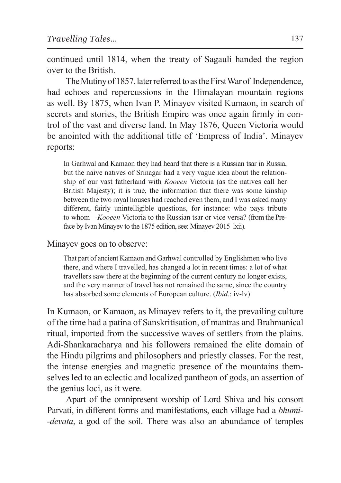continued until 1814, when the treaty of Sagauli handed the region over to the British.

The Mutiny of 1857, later referred to as the First War of Independence, had echoes and repercussions in the Himalayan mountain regions as well. By 1875, when Ivan P. Minayev visited Kumaon, in search of secrets and stories, the British Empire was once again firmly in control of the vast and diverse land. In May 1876, Queen Victoria would be anointed with the additional title of 'Empress of India'. Minayev reports:

In Garhwal and Kamaon they had heard that there is a Russian tsar in Russia, but the naive natives of Srinagar had a very vague idea about the relationship of our vast fatherland with *Kooeen* Victoria (as the natives call her British Majesty); it is true, the information that there was some kinship between the two royal houses had reached even them, and I was asked many different, fairly unintelligible questions, for instance: who pays tribute to whom—*Kooeen* Victoria to the Russian tsar or vice versa? (from the Preface by Ivan Minayev to the 1875 edition, see: Minayev 2015 lxii).

Minayev goes on to observe:

That part of ancient Kamaon and Garhwal controlled by Englishmen who live there, and where I travelled, has changed a lot in recent times: a lot of what travellers saw there at the beginning of the current century no longer exists, and the very manner of travel has not remained the same, since the country has absorbed some elements of European culture. (*Ibid*.: iv-lv)

In Kumaon, or Kamaon, as Minayev refers to it, the prevailing culture of the time had a patina of Sanskritisation, of mantras and Brahmanical ritual, imported from the successive waves of settlers from the plains. Adi-Shankaracharya and his followers remained the elite domain of the Hindu pilgrims and philosophers and priestly classes. For the rest, the intense energies and magnetic presence of the mountains themselves led to an eclectic and localized pantheon of gods, an assertion of the genius loci, as it were.

Apart of the omnipresent worship of Lord Shiva and his consort Parvati, in different forms and manifestations, each village had a *bhumi- -devata*, a god of the soil. There was also an abundance of temples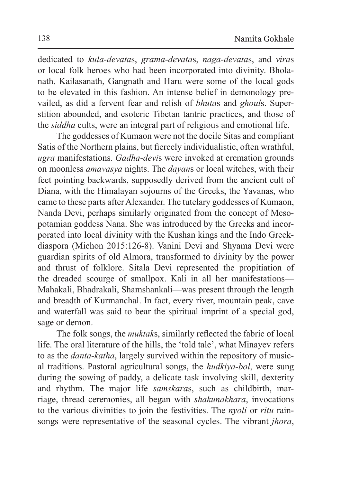dedicated to *kula-devata*s, *grama-devata*s, *naga-devata*s, and *vira*s or local folk heroes who had been incorporated into divinity. Bholanath, Kailasanath, Gangnath and Haru were some of the local gods to be elevated in this fashion. An intense belief in demonology prevailed, as did a fervent fear and relish of *bhuta*s and *ghoul*s. Superstition abounded, and esoteric Tibetan tantric practices, and those of the *siddha* cults, were an integral part of religious and emotional life.

The goddesses of Kumaon were not the docile Sitas and compliant Satis of the Northern plains, but fiercely individualistic, often wrathful, *ugra* manifestations. *Gadha-devi*s were invoked at cremation grounds on moonless *amavasya* nights. The *dayan*s or local witches, with their feet pointing backwards, supposedly derived from the ancient cult of Diana, with the Himalayan sojourns of the Greeks, the Yavanas, who came to these parts after Alexander. The tutelary goddesses of Kumaon, Nanda Devi, perhaps similarly originated from the concept of Mesopotamian goddess Nana. She was introduced by the Greeks and incorporated into local divinity with the Kushan kings and the Indo Greekdiaspora (Michon 2015:126-8). Vanini Devi and Shyama Devi were guardian spirits of old Almora, transformed to divinity by the power and thrust of folklore. Sitala Devi represented the propitiation of the dreaded scourge of smallpox. Kali in all her manifestations— Mahakali, Bhadrakali, Shamshankali—was present through the length and breadth of Kurmanchal. In fact, every river, mountain peak, cave and waterfall was said to bear the spiritual imprint of a special god, sage or demon.

The folk songs, the *muktak*s, similarly reflected the fabric of local life. The oral literature of the hills, the 'told tale', what Minayev refers to as the *danta-katha*, largely survived within the repository of musical traditions. Pastoral agricultural songs, the *hudkiya-bol*, were sung during the sowing of paddy, a delicate task involving skill, dexterity and rhythm. The major life *samskara*s, such as childbirth, marriage, thread ceremonies, all began with *shakunakhara*, invocations to the various divinities to join the festivities. The *nyoli* or *ritu* rainsongs were representative of the seasonal cycles. The vibrant *jhora*,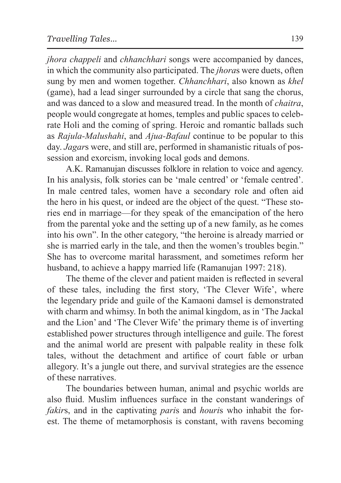*jhora chappeli* and *chhanchhari* songs were accompanied by dances, in which the community also participated. The *jhora*s were duets, often sung by men and women together. *Chhanchhari*, also known as *khel* (game), had a lead singer surrounded by a circle that sang the chorus, and was danced to a slow and measured tread. In the month of *chaitra*, people would congregate at homes, temples and public spaces to celebrate Holi and the coming of spring. Heroic and romantic ballads such as *Rajula-Malushahi*, and *Ajua-Bafaul* continue to be popular to this day. *Jagar*s were, and still are, performed in shamanistic rituals of possession and exorcism, invoking local gods and demons.

A.K. Ramanujan discusses folklore in relation to voice and agency. In his analysis, folk stories can be 'male centred' or 'female centred'. In male centred tales, women have a secondary role and often aid the hero in his quest, or indeed are the object of the quest. "These stories end in marriage—for they speak of the emancipation of the hero from the parental yoke and the setting up of a new family, as he comes into his own". In the other category, "the heroine is already married or she is married early in the tale, and then the women's troubles begin." She has to overcome marital harassment, and sometimes reform her husband, to achieve a happy married life (Ramanujan 1997: 218).

The theme of the clever and patient maiden is reflected in several of these tales, including the first story, 'The Clever Wife', where the legendary pride and guile of the Kamaoni damsel is demonstrated with charm and whimsy. In both the animal kingdom, as in 'The Jackal and the Lion' and 'The Clever Wife' the primary theme is of inverting established power structures through intelligence and guile. The forest and the animal world are present with palpable reality in these folk tales, without the detachment and artifice of court fable or urban allegory. It's a jungle out there, and survival strategies are the essence of these narratives.

The boundaries between human, animal and psychic worlds are also fluid. Muslim influences surface in the constant wanderings of *fakir*s, and in the captivating *pari*s and *houri*s who inhabit the forest. The theme of metamorphosis is constant, with ravens becoming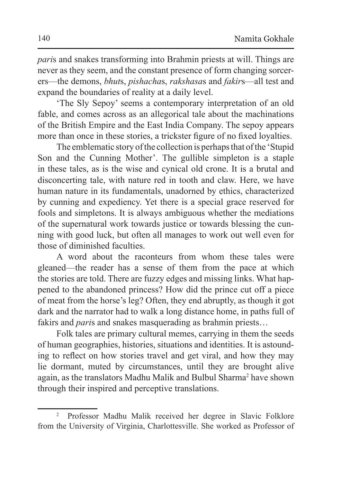*pari*s and snakes transforming into Brahmin priests at will. Things are never as they seem, and the constant presence of form changing sorcerers—the demons, *bhut*s, *pishacha*s, *rakshasa*s and *fakir*s—all test and expand the boundaries of reality at a daily level.

'The Sly Sepoy' seems a contemporary interpretation of an old fable, and comes across as an allegorical tale about the machinations of the British Empire and the East India Company. The sepoy appears more than once in these stories, a trickster figure of no fixed loyalties.

The emblematic story of the collection is perhaps that of the 'Stupid Son and the Cunning Mother'. The gullible simpleton is a staple in these tales, as is the wise and cynical old crone. It is a brutal and disconcerting tale, with nature red in tooth and claw. Here, we have human nature in its fundamentals, unadorned by ethics, characterized by cunning and expediency. Yet there is a special grace reserved for fools and simpletons. It is always ambiguous whether the mediations of the supernatural work towards justice or towards blessing the cunning with good luck, but often all manages to work out well even for those of diminished faculties.

A word about the raconteurs from whom these tales were gleaned—the reader has a sense of them from the pace at which the stories are told. There are fuzzy edges and missing links. What happened to the abandoned princess? How did the prince cut off a piece of meat from the horse's leg? Often, they end abruptly, as though it got dark and the narrator had to walk a long distance home, in paths full of fakirs and *pari*s and snakes masquerading as brahmin priests…

Folk tales are primary cultural memes, carrying in them the seeds of human geographies, histories, situations and identities. It is astounding to reflect on how stories travel and get viral, and how they may lie dormant, muted by circumstances, until they are brought alive again, as the translators Madhu Malik and Bulbul Sharma<sup>2</sup> have shown through their inspired and perceptive translations.

<sup>2</sup> Professor Madhu Malik received her degree in Slavic Folklore from the University of Virginia, Charlottesville. She worked as Professor of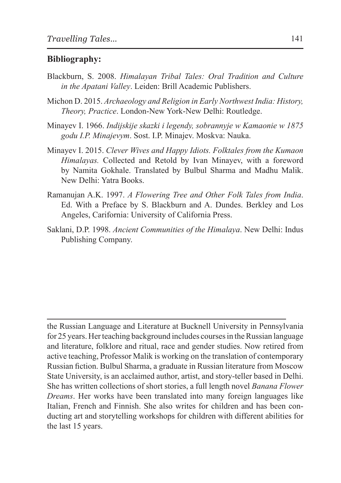#### **Bibliography:**

- Blackburn, S. 2008. *Himalayan Tribal Tales: Oral Tradition and Culture in the Apatani Valley*. Leiden: Brill Academic Publishers.
- Michon D. 2015. *Archaeology and Religion in Early Northwest India: History, Theory, Practice*. London-New York-New Delhi: Routledge.
- Minayev I. 1966. *Indijskije skazki i legendy, sobrannyje w Kamaonie w 1875 godu I.P. Minajevym*. Sost. I.P. Minajev. Moskva: Nauka.
- Minayev I. 2015. *Clever Wives and Happy Idiots. Folktales from the Kumaon Himalayas.* Collected and Retold by Ivan Minayev, with a foreword by Namita Gokhale. Translated by Bulbul Sharma and Madhu Malik. New Delhi: Yatra Books.
- Ramanujan A.K. 1997. *A Flowering Tree and Other Folk Tales from India*. Ed. With a Preface by S. Blackburn and A. Dundes. Berkley and Los Angeles, Carifornia: University of California Press.
- Saklani, D.P. 1998. *Ancient Communities of the Himalaya*. New Delhi: Indus Publishing Company.

the Russian Language and Literature at Bucknell University in Pennsylvania for 25 years. Her teaching background includes courses in the Russian language and literature, folklore and ritual, race and gender studies. Now retired from active teaching, Professor Malik is working on the translation of contemporary Russian fiction. Bulbul Sharma, a graduate in Russian literature from Moscow State University, is an acclaimed author, artist, and story-teller based in Delhi. She has written collections of short stories, a full length novel *Banana Flower Dreams*. Her works have been translated into many foreign languages like Italian, French and Finnish. She also writes for children and has been conducting art and storytelling workshops for children with different abilities for the last 15 years.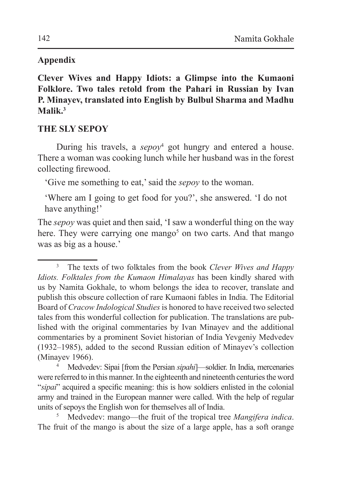## **Appendix**

**Clever Wives and Happy Idiots: a Glimpse into the Kumaoni Folklore. Two tales retold from the Pahari in Russian by Ivan P. Minayev, translated into English by Bulbul Sharma and Madhu Malik.3**

# **THE SLY SEPOY**

During his travels, a *sepoy*<sup>4</sup> got hungry and entered a house. There a woman was cooking lunch while her husband was in the forest collecting firewood.

'Give me something to eat,' said the *sepoy* to the woman.

'Where am I going to get food for you?', she answered. 'I do not have anything!'

The *sepoy* was quiet and then said, 'I saw a wonderful thing on the way here. They were carrying one mango<sup>5</sup> on two carts. And that mango was as big as a house.'

were referred to in this manner. In the eighteenth and nineteenth centuries the word "*sipai*" acquired a specific meaning: this is how soldiers enlisted in the colonial army and trained in the European manner were called. With the help of regular units of sepoys the English won for themselves all of India. 5 Medvedev: mango—the fruit of the tropical tree *Mangifera indica*.

The fruit of the mango is about the size of a large apple, has a soft orange

<sup>3</sup> The texts of two folktales from the book *Clever Wives and Happy Idiots. Folktales from the Kumaon Himalayas* has been kindly shared with us by Namita Gokhale, to whom belongs the idea to recover, translate and publish this obscure collection of rare Kumaoni fables in India. The Editorial Board of *Cracow Indological Studies* is honored to have received two selected tales from this wonderful collection for publication. The translations are published with the original commentaries by Ivan Minayev and the additional commentaries by a prominent Soviet historian of India Yevgeniy Medvedev (1932–1985), added to the second Russian edition of Minayev's collection (Minayev 1966). 4 Medvedev: Sipai [from the Persian *sipahi*]—soldier. In India, mercenaries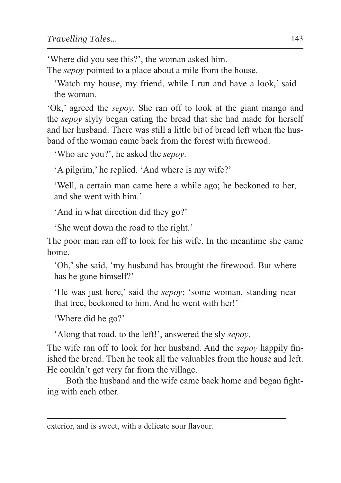'Where did you see this?', the woman asked him.

The *sepoy* pointed to a place about a mile from the house.

'Watch my house, my friend, while I run and have a look,' said the woman.

'Ok,' agreed the *sepoy*. She ran off to look at the giant mango and the *sepoy* slyly began eating the bread that she had made for herself and her husband. There was still a little bit of bread left when the husband of the woman came back from the forest with firewood.

'Who are you?', he asked the *sepoy*.

'A pilgrim,' he replied. 'And where is my wife?'

'Well, a certain man came here a while ago; he beckoned to her, and she went with him.'

'And in what direction did they go?'

'She went down the road to the right.'

The poor man ran off to look for his wife. In the meantime she came home.

'Oh,' she said, 'my husband has brought the firewood. But where has he gone himself?'

'He was just here,' said the *sepoy*; 'some woman, standing near that tree, beckoned to him. And he went with her!'

'Where did he go?'

'Along that road, to the left!', answered the sly *sepoy*.

The wife ran off to look for her husband. And the *sepoy* happily finished the bread. Then he took all the valuables from the house and left. He couldn't get very far from the village.

Both the husband and the wife came back home and began fighting with each other.

exterior, and is sweet, with a delicate sour flavour.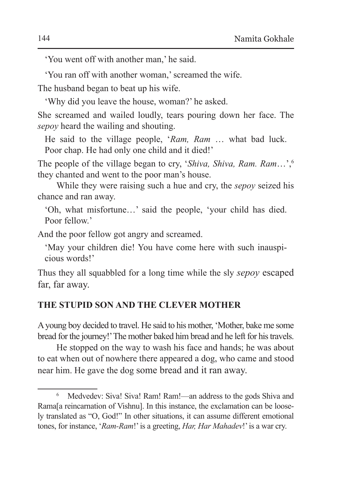'You went off with another man,' he said.

'You ran off with another woman,' screamed the wife. The husband began to beat up his wife.

'Why did you leave the house, woman?' he asked.

She screamed and wailed loudly, tears pouring down her face. The *sepoy* heard the wailing and shouting.

He said to the village people, '*Ram, Ram* … what bad luck. Poor chap. He had only one child and it died!'

The people of the village began to cry, '*Shiva, Shiva, Ram. Ram*…',6 they chanted and went to the poor man's house.

While they were raising such a hue and cry, the *sepoy* seized his chance and ran away.

'Oh, what misfortune…' said the people, 'your child has died. Poor fellow<sup>'</sup>

And the poor fellow got angry and screamed.

'May your children die! You have come here with such inauspicious words!'

Thus they all squabbled for a long time while the sly *sepoy* escaped far, far away.

## **THE STUPID SON AND THE CLEVER MOTHER**

Ayoung boy decided to travel. He said to his mother, 'Mother, bake me some bread for the journey!' The mother baked him bread and he left for his travels.

He stopped on the way to wash his face and hands; he was about to eat when out of nowhere there appeared a dog, who came and stood near him. He gave the dog some bread and it ran away.

<sup>6</sup> Medvedev: Siva! Siva! Ram! Ram!—an address to the gods Shiva and Rama[a reincarnation of Vishnu]. In this instance, the exclamation can be loosely translated as "O, God!" In other situations, it can assume different emotional tones, for instance, '*Ram-Ram*!' is a greeting, *Har, Har Mahadev*!' is a war cry.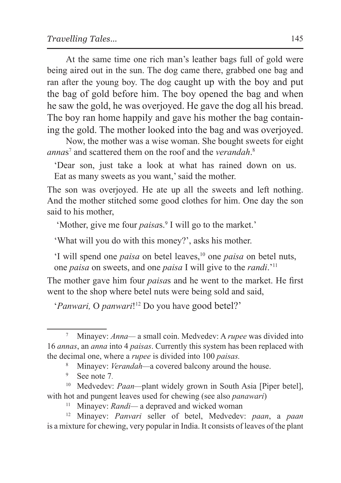At the same time one rich man's leather bags full of gold were being aired out in the sun. The dog came there, grabbed one bag and ran after the young boy. The dog caught up with the boy and put the bag of gold before him. The boy opened the bag and when he saw the gold, he was overjoyed. He gave the dog all his bread. The boy ran home happily and gave his mother the bag containing the gold. The mother looked into the bag and was overjoyed.

Now, the mother was a wise woman. She bought sweets for eight *annas*<sup>7</sup> and scattered them on the roof and the *verandah*.<sup>8</sup>

'Dear son, just take a look at what has rained down on us. Eat as many sweets as you want,' said the mother.

The son was overjoyed. He ate up all the sweets and left nothing. And the mother stitched some good clothes for him. One day the son said to his mother,

'Mother, give me four *paisas*.<sup>9</sup> I will go to the market.'

'What will you do with this money?', asks his mother.

'I will spend one *paisa* on betel leaves,<sup>10</sup> one *paisa* on betel nuts, one *paisa* on sweets, and one *paisa* I will give to the *randi*.'11

The mother gave him four *paisa*s and he went to the market. He first went to the shop where betel nuts were being sold and said,

'*Panwari,* O *panwari*!12 Do you have good betel?'

<sup>7</sup> Minayev: *Anna—* a small coin. Medvedev: A *rupee* was divided into 16 *annas*, an *anna* into 4 *paisas*. Currently this system has been replaced with the decimal one, where a *rupee* is divided into 100 *paisas.*

<sup>&</sup>lt;sup>8</sup> Minayev: *Verandah*—a covered balcony around the house.<br><sup>9</sup> See note 7.

<sup>&</sup>lt;sup>10</sup> Medvedev: *Paan*—plant widely grown in South Asia [Piper betel], with hot and pungent leaves used for chewing (see also *panawari*) <sup>11</sup> Minayev: *Randi*—a depraved and wicked woman

<sup>12</sup> Minayev: *Panvari* seller of betel, Medvedev: *paan*, a *paan*  is a mixture for chewing, very popular in India. It consists of leaves of the plant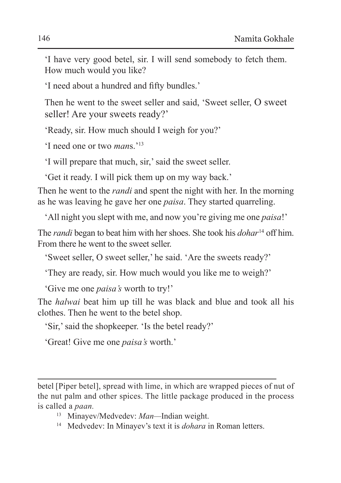'I have very good betel, sir. I will send somebody to fetch them. How much would you like?

'I need about a hundred and fifty bundles.'

Then he went to the sweet seller and said, 'Sweet seller, O sweet seller! Are your sweets ready?'

'Ready, sir. How much should I weigh for you?'

'I need one or two *man*s.'13

'I will prepare that much, sir,' said the sweet seller.

'Get it ready. I will pick them up on my way back.'

Then he went to the *randi* and spent the night with her. In the morning as he was leaving he gave her one *paisa*. They started quarreling.

'All night you slept with me, and now you're giving me one *paisa*!'

The *randi* began to beat him with her shoes. She took his *dohar*<sup>14</sup> off him. From there he went to the sweet seller.

'Sweet seller, O sweet seller,' he said. 'Are the sweets ready?'

'They are ready, sir. How much would you like me to weigh?'

'Give me one *paisa's* worth to try!'

The *halwai* beat him up till he was black and blue and took all his clothes. Then he went to the betel shop.

'Sir,' said the shopkeeper. 'Is the betel ready?'

'Great! Give me one *paisa's* worth.'

betel [Piper betel], spread with lime, in which are wrapped pieces of nut of the nut palm and other spices. The little package produced in the process is called a *paan.*

<sup>13</sup> Minayev/Medvedev: *Man—*Indian weight.

<sup>14</sup> Medvedev: In Minayev's text it is *dohara* in Roman letters.